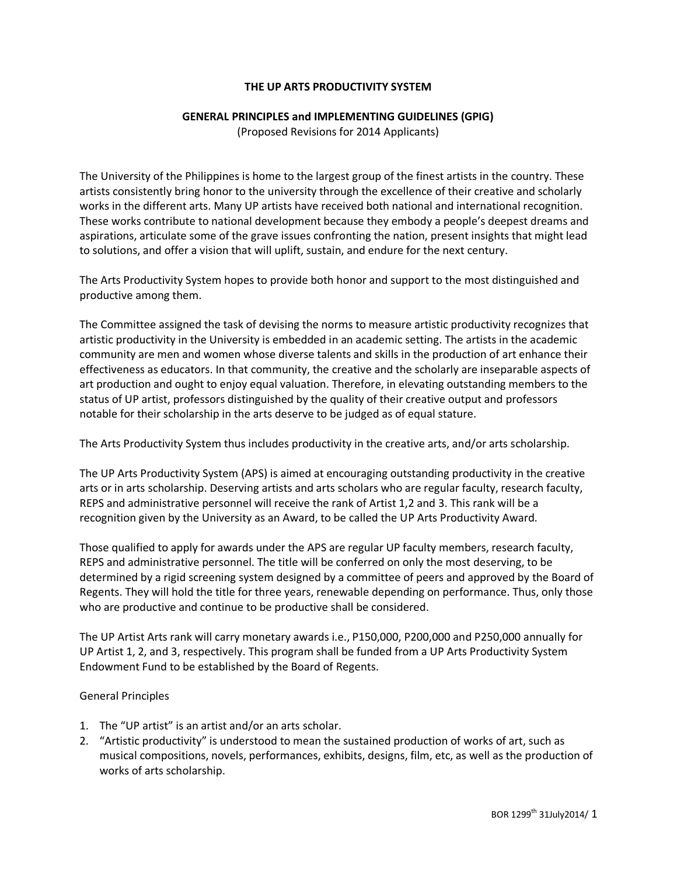# **THE UP ARTS PRODUCTIVITY SYSTEM**

#### **GENERAL PRINCIPLES and IMPLEMENTING GUIDELINES (GPIG)**

(Proposed Revisions for 2014 Applicants)

The University of the Philippines is home to the largest group of the finest artists in the country. These artists consistently bring honor to the university through the excellence of their creative and scholarly works in the different arts. Many UP artists have received both national and international recognition. These works contribute to national development because they embody a people's deepest dreams and aspirations, articulate some of the grave issues confronting the nation, present insights that might lead to solutions, and offer a vision that will uplift, sustain, and endure for the next century.

The Arts Productivity System hopes to provide both honor and support to the most distinguished and productive among them.

The Committee assigned the task of devising the norms to measure artistic productivity recognizes that artistic productivity in the University is embedded in an academic setting. The artists in the academic community are men and women whose diverse talents and skills in the production of art enhance their effectiveness as educators. In that community, the creative and the scholarly are inseparable aspects of art production and ought to enjoy equal valuation. Therefore, in elevating outstanding members to the status of UP artist, professors distinguished by the quality of their creative output and professors notable for their scholarship in the arts deserve to be judged as of equal stature.

The Arts Productivity System thus includes productivity in the creative arts, and/or arts scholarship.

The UP Arts Productivity System (APS) is aimed at encouraging outstanding productivity in the creative arts or in arts scholarship. Deserving artists and arts scholars who are regular faculty, research faculty, REPS and administrative personnel will receive the rank of Artist 1,2 and 3. This rank will be a recognition given by the University as an Award, to be called the UP Arts Productivity Award.

Those qualified to apply for awards under the APS are regular UP faculty members, research faculty, REPS and administrative personnel. The title will be conferred on only the most deserving, to be determined by a rigid screening system designed by a committee of peers and approved by the Board of Regents. They will hold the title for three years, renewable depending on performance. Thus, only those who are productive and continue to be productive shall be considered.

The UP Artist Arts rank will carry monetary awards i.e., P150,000, P200,000 and P250,000 annually for UP Artist 1, 2, and 3, respectively. This program shall be funded from a UP Arts Productivity System Endowment Fund to be established by the Board of Regents.

#### General Principles

- 1. The "UP artist" is an artist and/or an arts scholar.
- 2. "Artistic productivity" is understood to mean the sustained production of works of art, such as musical compositions, novels, performances, exhibits, designs, film, etc, as well as the production of works of arts scholarship.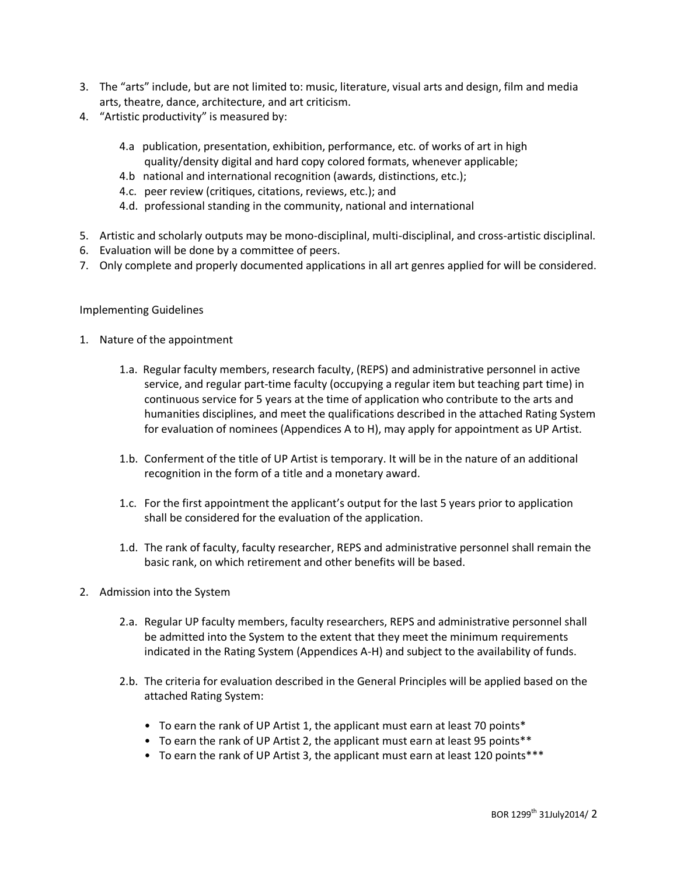- 3. The "arts" include, but are not limited to: music, literature, visual arts and design, film and media arts, theatre, dance, architecture, and art criticism.
- 4. "Artistic productivity" is measured by:
	- 4.a publication, presentation, exhibition, performance, etc. of works of art in high quality/density digital and hard copy colored formats, whenever applicable;
	- 4.b national and international recognition (awards, distinctions, etc.);
	- 4.c. peer review (critiques, citations, reviews, etc.); and
	- 4.d. professional standing in the community, national and international
- 5. Artistic and scholarly outputs may be mono-disciplinal, multi-disciplinal, and cross-artistic disciplinal.
- 6. Evaluation will be done by a committee of peers.
- 7. Only complete and properly documented applications in all art genres applied for will be considered.

## Implementing Guidelines

- 1. Nature of the appointment
	- 1.a. Regular faculty members, research faculty, (REPS) and administrative personnel in active service, and regular part-time faculty (occupying a regular item but teaching part time) in continuous service for 5 years at the time of application who contribute to the arts and humanities disciplines, and meet the qualifications described in the attached Rating System for evaluation of nominees (Appendices A to H), may apply for appointment as UP Artist.
	- 1.b. Conferment of the title of UP Artist is temporary. It will be in the nature of an additional recognition in the form of a title and a monetary award.
	- 1.c. For the first appointment the applicant's output for the last 5 years prior to application shall be considered for the evaluation of the application.
	- 1.d. The rank of faculty, faculty researcher, REPS and administrative personnel shall remain the basic rank, on which retirement and other benefits will be based.
- 2. Admission into the System
	- 2.a. Regular UP faculty members, faculty researchers, REPS and administrative personnel shall be admitted into the System to the extent that they meet the minimum requirements indicated in the Rating System (Appendices A-H) and subject to the availability of funds.
	- 2.b. The criteria for evaluation described in the General Principles will be applied based on the attached Rating System:
		- To earn the rank of UP Artist 1, the applicant must earn at least 70 points\*
		- To earn the rank of UP Artist 2, the applicant must earn at least 95 points\*\*
		- To earn the rank of UP Artist 3, the applicant must earn at least 120 points\*\*\*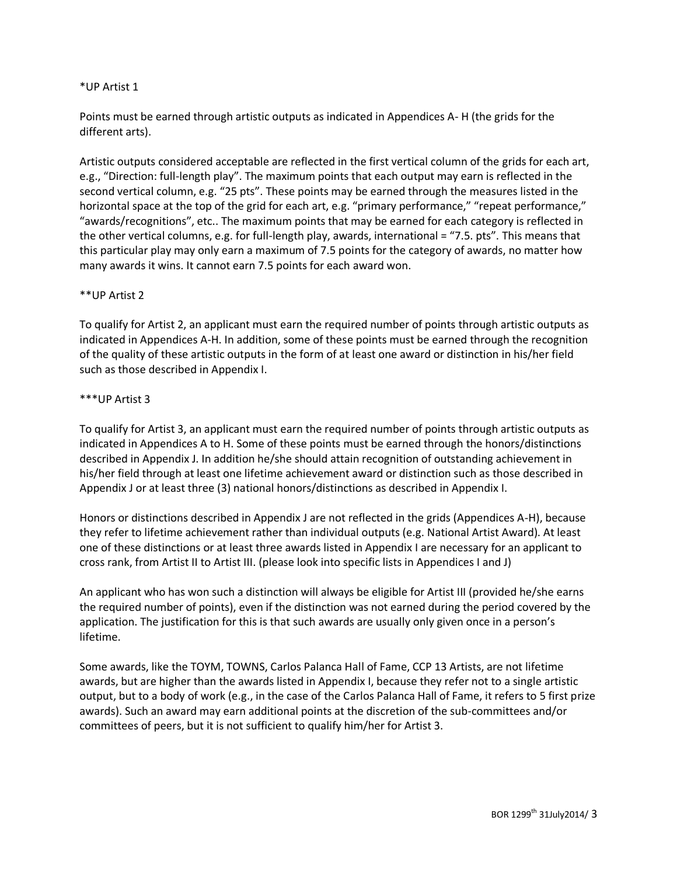## \*UP Artist 1

Points must be earned through artistic outputs as indicated in Appendices A- H (the grids for the different arts).

Artistic outputs considered acceptable are reflected in the first vertical column of the grids for each art, e.g., "Direction: full-length play". The maximum points that each output may earn is reflected in the second vertical column, e.g. "25 pts". These points may be earned through the measures listed in the horizontal space at the top of the grid for each art, e.g. "primary performance," "repeat performance," "awards/recognitions", etc.. The maximum points that may be earned for each category is reflected in the other vertical columns, e.g. for full-length play, awards, international = "7.5. pts". This means that this particular play may only earn a maximum of 7.5 points for the category of awards, no matter how many awards it wins. It cannot earn 7.5 points for each award won.

## \*\*UP Artist 2

To qualify for Artist 2, an applicant must earn the required number of points through artistic outputs as indicated in Appendices A-H. In addition, some of these points must be earned through the recognition of the quality of these artistic outputs in the form of at least one award or distinction in his/her field such as those described in Appendix I.

## \*\*\*UP Artist 3

To qualify for Artist 3, an applicant must earn the required number of points through artistic outputs as indicated in Appendices A to H. Some of these points must be earned through the honors/distinctions described in Appendix J. In addition he/she should attain recognition of outstanding achievement in his/her field through at least one lifetime achievement award or distinction such as those described in Appendix J or at least three (3) national honors/distinctions as described in Appendix I.

Honors or distinctions described in Appendix J are not reflected in the grids (Appendices A-H), because they refer to lifetime achievement rather than individual outputs (e.g. National Artist Award). At least one of these distinctions or at least three awards listed in Appendix I are necessary for an applicant to cross rank, from Artist II to Artist III. (please look into specific lists in Appendices I and J)

An applicant who has won such a distinction will always be eligible for Artist III (provided he/she earns the required number of points), even if the distinction was not earned during the period covered by the application. The justification for this is that such awards are usually only given once in a person's lifetime.

Some awards, like the TOYM, TOWNS, Carlos Palanca Hall of Fame, CCP 13 Artists, are not lifetime awards, but are higher than the awards listed in Appendix I, because they refer not to a single artistic output, but to a body of work (e.g., in the case of the Carlos Palanca Hall of Fame, it refers to 5 first prize awards). Such an award may earn additional points at the discretion of the sub-committees and/or committees of peers, but it is not sufficient to qualify him/her for Artist 3.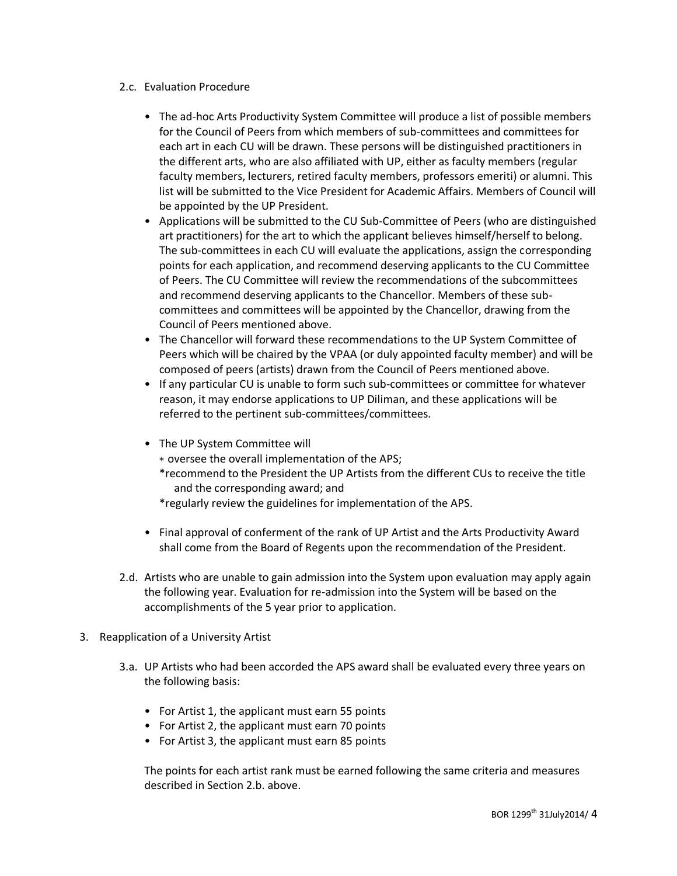## 2.c. Evaluation Procedure

- The ad-hoc Arts Productivity System Committee will produce a list of possible members for the Council of Peers from which members of sub-committees and committees for each art in each CU will be drawn. These persons will be distinguished practitioners in the different arts, who are also affiliated with UP, either as faculty members (regular faculty members, lecturers, retired faculty members, professors emeriti) or alumni. This list will be submitted to the Vice President for Academic Affairs. Members of Council will be appointed by the UP President.
- Applications will be submitted to the CU Sub-Committee of Peers (who are distinguished art practitioners) for the art to which the applicant believes himself/herself to belong. The sub-committees in each CU will evaluate the applications, assign the corresponding points for each application, and recommend deserving applicants to the CU Committee of Peers. The CU Committee will review the recommendations of the subcommittees and recommend deserving applicants to the Chancellor. Members of these subcommittees and committees will be appointed by the Chancellor, drawing from the Council of Peers mentioned above.
- The Chancellor will forward these recommendations to the UP System Committee of Peers which will be chaired by the VPAA (or duly appointed faculty member) and will be composed of peers (artists) drawn from the Council of Peers mentioned above.
- If any particular CU is unable to form such sub-committees or committee for whatever reason, it may endorse applications to UP Diliman, and these applications will be referred to the pertinent sub-committees/committees.
- The UP System Committee will
	- ∗ oversee the overall implementation of the APS;
	- \*recommend to the President the UP Artists from the different CUs to receive the title and the corresponding award; and

\*regularly review the guidelines for implementation of the APS.

- Final approval of conferment of the rank of UP Artist and the Arts Productivity Award shall come from the Board of Regents upon the recommendation of the President.
- 2.d. Artists who are unable to gain admission into the System upon evaluation may apply again the following year. Evaluation for re-admission into the System will be based on the accomplishments of the 5 year prior to application.
- 3. Reapplication of a University Artist
	- 3.a. UP Artists who had been accorded the APS award shall be evaluated every three years on the following basis:
		- For Artist 1, the applicant must earn 55 points
		- For Artist 2, the applicant must earn 70 points
		- For Artist 3, the applicant must earn 85 points

The points for each artist rank must be earned following the same criteria and measures described in Section 2.b. above.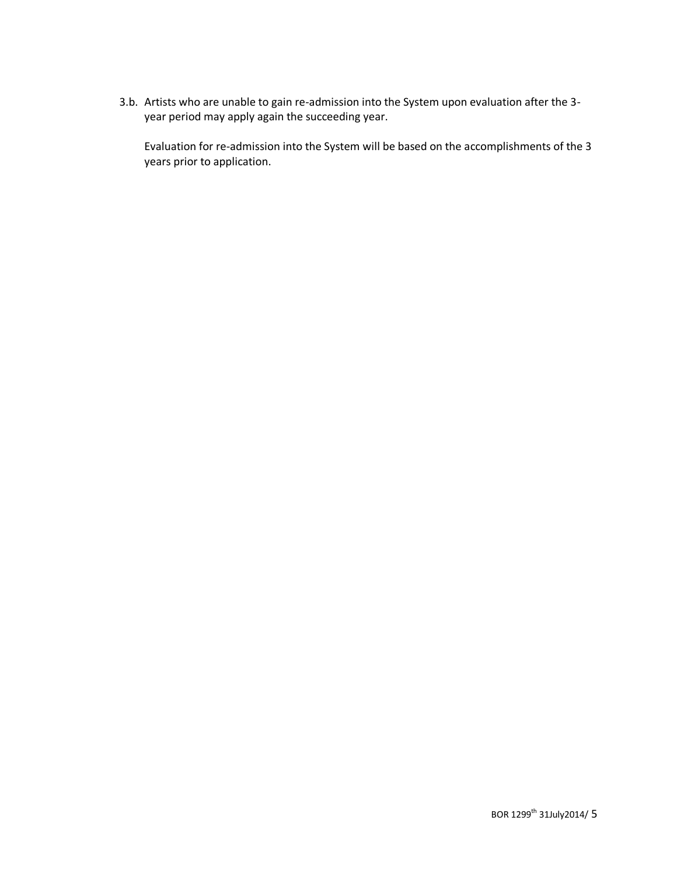3.b. Artists who are unable to gain re-admission into the System upon evaluation after the 3 year period may apply again the succeeding year.

Evaluation for re-admission into the System will be based on the accomplishments of the 3 years prior to application.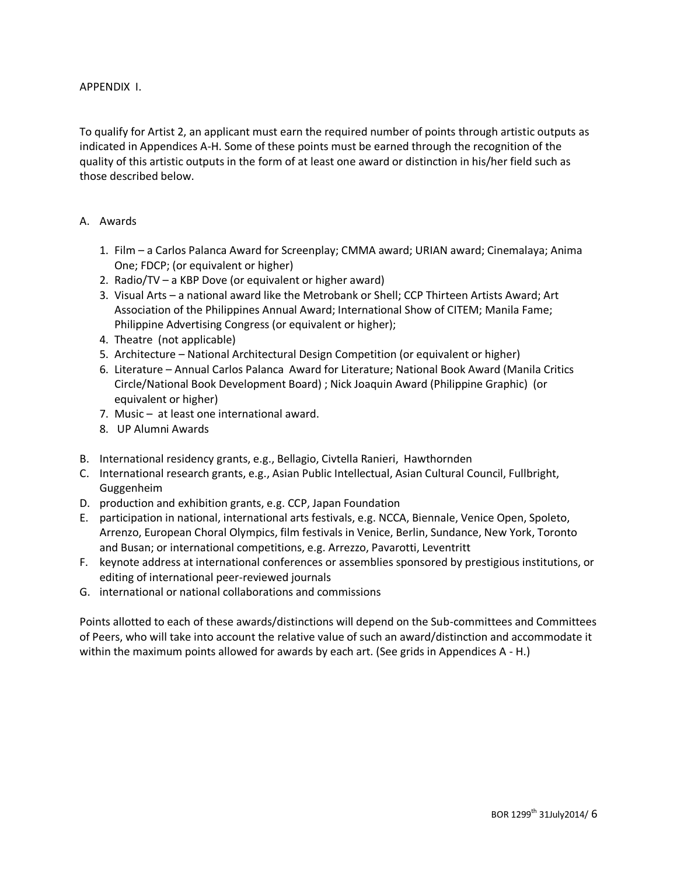## APPENDIX I.

To qualify for Artist 2, an applicant must earn the required number of points through artistic outputs as indicated in Appendices A-H. Some of these points must be earned through the recognition of the quality of this artistic outputs in the form of at least one award or distinction in his/her field such as those described below.

## A. Awards

- 1. Film a Carlos Palanca Award for Screenplay; CMMA award; URIAN award; Cinemalaya; Anima One; FDCP; (or equivalent or higher)
- 2. Radio/TV a KBP Dove (or equivalent or higher award)
- 3. Visual Arts a national award like the Metrobank or Shell; CCP Thirteen Artists Award; Art Association of the Philippines Annual Award; International Show of CITEM; Manila Fame; Philippine Advertising Congress (or equivalent or higher);
- 4. Theatre (not applicable)
- 5. Architecture National Architectural Design Competition (or equivalent or higher)
- 6. Literature Annual Carlos Palanca Award for Literature; National Book Award (Manila Critics Circle/National Book Development Board) ; Nick Joaquin Award (Philippine Graphic) (or equivalent or higher)
- 7. Music at least one international award.
- 8. UP Alumni Awards
- B. International residency grants, e.g., Bellagio, Civtella Ranieri, Hawthornden
- C. International research grants, e.g., Asian Public Intellectual, Asian Cultural Council, Fullbright, Guggenheim
- D. production and exhibition grants, e.g. CCP, Japan Foundation
- E. participation in national, international arts festivals, e.g. NCCA, Biennale, Venice Open, Spoleto, Arrenzo, European Choral Olympics, film festivals in Venice, Berlin, Sundance, New York, Toronto and Busan; or international competitions, e.g. Arrezzo, Pavarotti, Leventritt
- F. keynote address at international conferences or assemblies sponsored by prestigious institutions, or editing of international peer-reviewed journals
- G. international or national collaborations and commissions

Points allotted to each of these awards/distinctions will depend on the Sub-committees and Committees of Peers, who will take into account the relative value of such an award/distinction and accommodate it within the maximum points allowed for awards by each art. (See grids in Appendices A - H.)